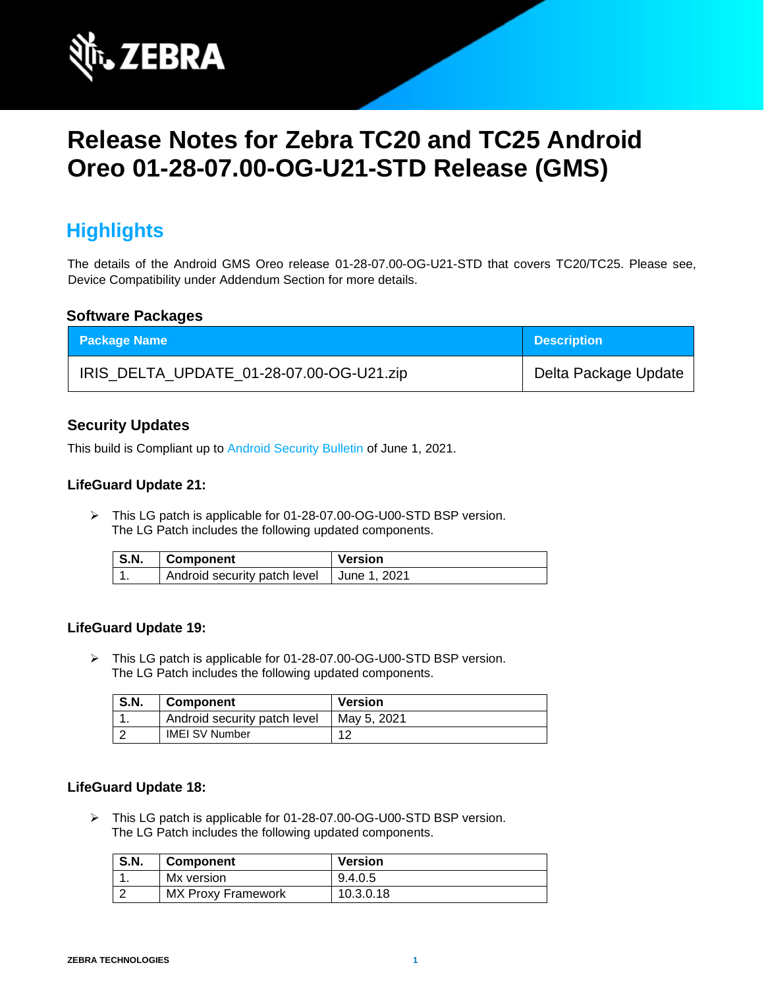

# **Release Notes for Zebra TC20 and TC25 Android Oreo 01-28-07.00-OG-U21-STD Release (GMS)**

# **Highlights**

The details of the Android GMS Oreo release 01-28-07.00-OG-U21-STD that covers TC20/TC25. Please see, Device Compatibility under Addendum Section for more details.

#### **Software Packages**

| <b>Package Name</b>                      | <b>Description</b>   |
|------------------------------------------|----------------------|
| IRIS_DELTA_UPDATE_01-28-07.00-OG-U21.zip | Delta Package Update |

#### **Security Updates**

This build is Compliant up to [Android Security Bulletin](https://source.android.com/security/bulletin/) of June 1, 2021.

#### **LifeGuard Update 21:**

➢ This LG patch is applicable for 01-28-07.00-OG-U00-STD BSP version. The LG Patch includes the following updated components.

| <b>S.N.</b> | Component                                   | <b>Version</b> |
|-------------|---------------------------------------------|----------------|
|             | Android security patch level   June 1, 2021 |                |

#### **LifeGuard Update 19:**

➢ This LG patch is applicable for 01-28-07.00-OG-U00-STD BSP version. The LG Patch includes the following updated components.

| <b>S.N.</b> | <b>Component</b>             | <b>Version</b> |
|-------------|------------------------------|----------------|
|             | Android security patch level | May 5, 2021    |
|             | <b>IMEI SV Number</b>        |                |

#### **LifeGuard Update 18:**

➢ This LG patch is applicable for 01-28-07.00-OG-U00-STD BSP version. The LG Patch includes the following updated components.

| <b>S.N.</b> | <b>Component</b>          | <b>Version</b> |
|-------------|---------------------------|----------------|
|             | Mx version                | 9.4.0.5        |
|             | <b>MX Proxy Framework</b> | 10.3.0.18      |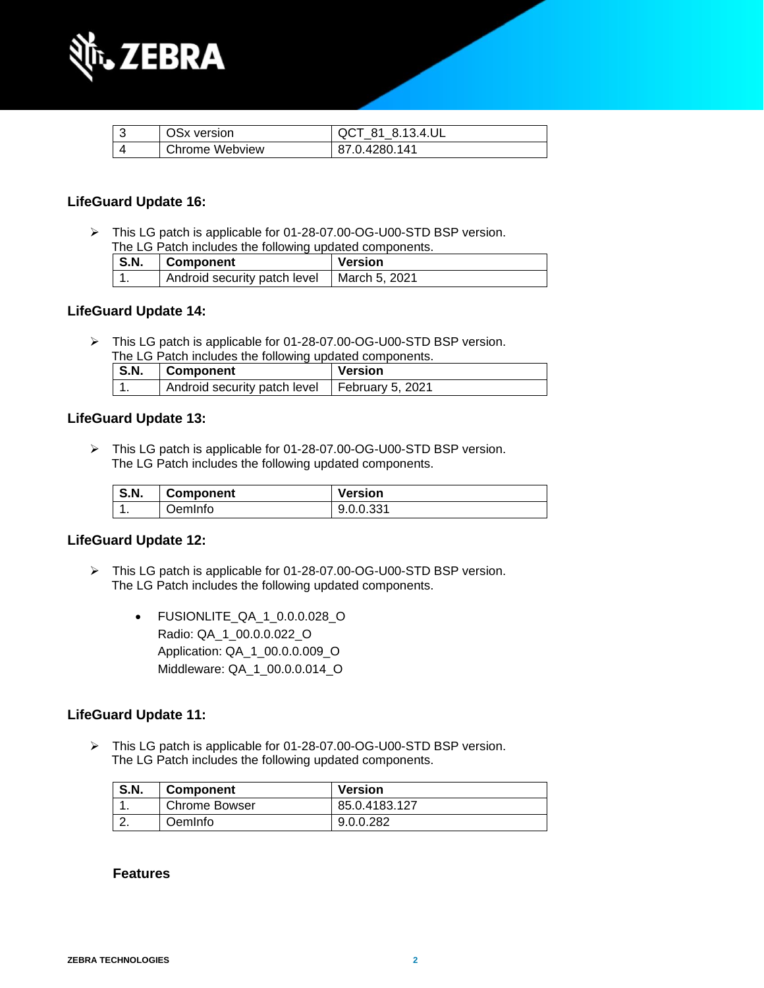

| OS <sub>x</sub> version | QCT 81 8.13.4.UL |
|-------------------------|------------------|
| Chrome Webview          | 87.0.4280.141    |

#### **LifeGuard Update 16:**

➢ This LG patch is applicable for 01-28-07.00-OG-U00-STD BSP version. The LG Patch includes the following updated components.

| The LG Patch includes the following updated components. |                                              |         |
|---------------------------------------------------------|----------------------------------------------|---------|
| S.N.                                                    | Component                                    | Version |
|                                                         | Android security patch level   March 5, 2021 |         |

#### **LifeGuard Update 14:**

➢ This LG patch is applicable for 01-28-07.00-OG-U00-STD BSP version. The LG Patch includes the following updated components.

| S.N. | Component                                       | <b>Version</b> |
|------|-------------------------------------------------|----------------|
|      | Android security patch level   February 5, 2021 |                |

#### **LifeGuard Update 13:**

➢ This LG patch is applicable for 01-28-07.00-OG-U00-STD BSP version. The LG Patch includes the following updated components.

| <b>S.N.</b> | <b>Component</b> | <b>Version</b> |
|-------------|------------------|----------------|
|             | JemInfo          | 9.0.0.331      |

#### **LifeGuard Update 12:**

- ➢ This LG patch is applicable for 01-28-07.00-OG-U00-STD BSP version. The LG Patch includes the following updated components.
	- FUSIONLITE\_QA\_1\_0.0.0.028\_O Radio: QA\_1\_00.0.0.022\_O Application: QA\_1\_00.0.0.009\_O Middleware: QA\_1\_00.0.0.014\_O

#### **LifeGuard Update 11:**

➢ This LG patch is applicable for 01-28-07.00-OG-U00-STD BSP version. The LG Patch includes the following updated components.

| <b>S.N.</b> | <b>Component</b>     | <b>Version</b> |
|-------------|----------------------|----------------|
|             | <b>Chrome Bowser</b> | 85.0.4183.127  |
| <u>.</u>    | <b>Deminfo</b>       | 9.0.0.282      |

#### **Features**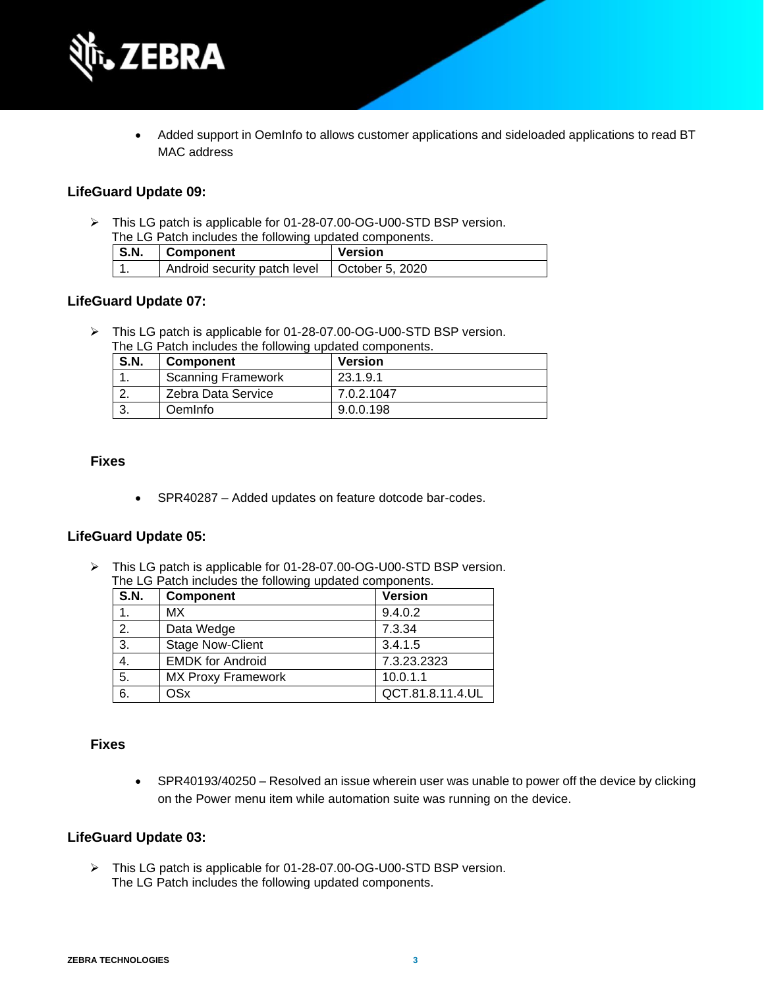

• Added support in OemInfo to allows customer applications and sideloaded applications to read BT MAC address

#### **LifeGuard Update 09:**

➢ This LG patch is applicable for 01-28-07.00-OG-U00-STD BSP version. The LG Patch includes the following updated components.

| S.N. | Component                                      | <b>Version</b> |
|------|------------------------------------------------|----------------|
|      | Android security patch level   October 5, 2020 |                |

#### **LifeGuard Update 07:**

➢ This LG patch is applicable for 01-28-07.00-OG-U00-STD BSP version.

| The LG Patch includes the following updated components. |  |                           |            |
|---------------------------------------------------------|--|---------------------------|------------|
| <b>S.N.</b><br><b>Version</b><br><b>Component</b>       |  |                           |            |
|                                                         |  | <b>Scanning Framework</b> | 23.1.9.1   |
|                                                         |  | Zebra Data Service        | 7.0.2.1047 |
|                                                         |  | Oeminfo                   | 9.0.0.198  |

#### **Fixes**

• SPR40287 – Added updates on feature dotcode bar-codes.

#### **LifeGuard Update 05:**

➢ This LG patch is applicable for 01-28-07.00-OG-U00-STD BSP version. The LG Patch includes the following updated components.

| <b>S.N.</b>    | <b>Component</b>          | <b>Version</b>   |
|----------------|---------------------------|------------------|
|                | МX                        | 9.4.0.2          |
| 2.             | Data Wedge                | 7.3.34           |
| 3.             | <b>Stage Now-Client</b>   | 3.4.1.5          |
| $\mathbf{4}$ . | <b>EMDK for Android</b>   | 7.3.23.2323      |
| 5.             | <b>MX Proxy Framework</b> | 10.0.1.1         |
| 6.             | <b>OSx</b>                | QCT.81.8.11.4.UL |

#### **Fixes**

• SPR40193/40250 – Resolved an issue wherein user was unable to power off the device by clicking on the Power menu item while automation suite was running on the device.

#### **LifeGuard Update 03:**

➢ This LG patch is applicable for 01-28-07.00-OG-U00-STD BSP version. The LG Patch includes the following updated components.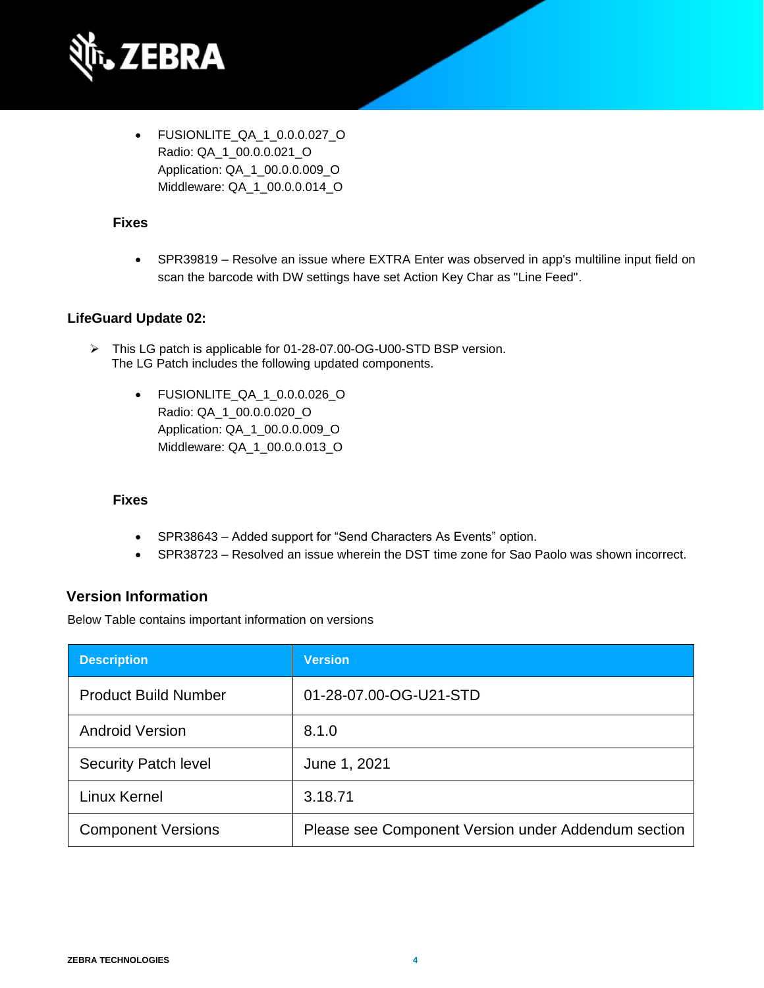

• FUSIONLITE\_QA\_1\_0.0.0.027\_O Radio: QA\_1\_00.0.0.021\_O Application: QA\_1\_00.0.0.009\_O Middleware: QA\_1\_00.0.0.014\_O

#### **Fixes**

• SPR39819 – Resolve an issue where EXTRA Enter was observed in app's multiline input field on scan the barcode with DW settings have set Action Key Char as "Line Feed".

#### **LifeGuard Update 02:**

- ➢ This LG patch is applicable for 01-28-07.00-OG-U00-STD BSP version. The LG Patch includes the following updated components.
	- FUSIONLITE\_QA\_1\_0.0.0.026\_O Radio: QA\_1\_00.0.0.020\_O Application: QA\_1\_00.0.0.009\_O Middleware: QA\_1\_00.0.0.013\_O

#### **Fixes**

- SPR38643 Added support for "Send Characters As Events" option.
- SPR38723 Resolved an issue wherein the DST time zone for Sao Paolo was shown incorrect.

#### **Version Information**

Below Table contains important information on versions

| <b>Description</b>          | <b>Version</b>                                      |
|-----------------------------|-----------------------------------------------------|
| <b>Product Build Number</b> | 01-28-07.00-OG-U21-STD                              |
| <b>Android Version</b>      | 8.1.0                                               |
| <b>Security Patch level</b> | June 1, 2021                                        |
| <b>Linux Kernel</b>         | 3.18.71                                             |
| <b>Component Versions</b>   | Please see Component Version under Addendum section |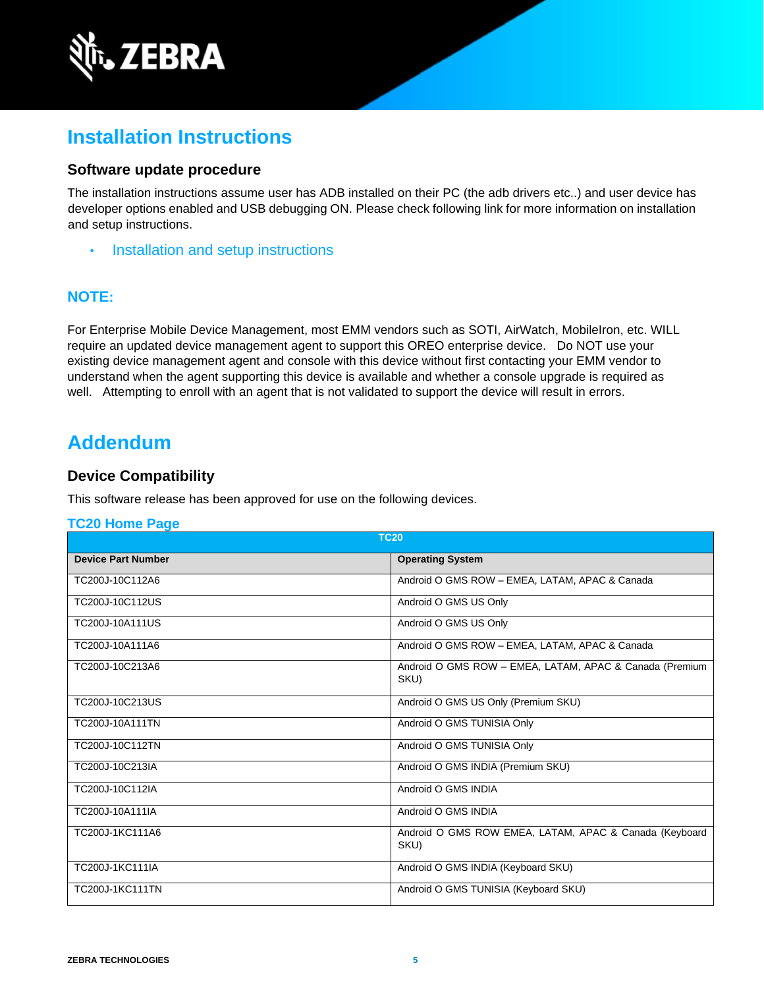

# **Installation Instructions**

#### **Software update procedure**

The installation instructions assume user has ADB installed on their PC (the adb drivers etc..) and user device has developer options enabled and USB debugging ON. Please check following link for more information on installation and setup instructions.

• [Installation and setup instructions](https://www.zebra.com/content/dam/zebra_new_ia/en-us/software/operating-system/tc20-operating-system/Android-O-OS-Update-TC20-and-TC25-GMS.pdf)

#### **NOTE:**

For Enterprise Mobile Device Management, most EMM vendors such as SOTI, AirWatch, MobileIron, etc. WILL require an updated device management agent to support this OREO enterprise device. Do NOT use your existing device management agent and console with this device without first contacting your EMM vendor to understand when the agent supporting this device is available and whether a console upgrade is required as well. Attempting to enroll with an agent that is not validated to support the device will result in errors.

### **Addendum**

#### **Device Compatibility**

This software release has been approved for use on the following devices.

#### **[TC20 Home Page](https://www.zebra.com/us/en/support-downloads/software/operating-system/tc20-operating-system.html)**

| <b>TC20</b>               |                                                                 |
|---------------------------|-----------------------------------------------------------------|
| <b>Device Part Number</b> | <b>Operating System</b>                                         |
| TC200J-10C112A6           | Android O GMS ROW - EMEA, LATAM, APAC & Canada                  |
| TC200J-10C112US           | Android O GMS US Only                                           |
| TC200J-10A111US           | Android O GMS US Only                                           |
| TC200J-10A111A6           | Android O GMS ROW - EMEA, LATAM, APAC & Canada                  |
| TC200J-10C213A6           | Android O GMS ROW - EMEA, LATAM, APAC & Canada (Premium<br>SKU) |
| TC200J-10C213US           | Android O GMS US Only (Premium SKU)                             |
| TC200J-10A111TN           | Android O GMS TUNISIA Only                                      |
| TC200J-10C112TN           | Android O GMS TUNISIA Only                                      |
| TC200J-10C213IA           | Android O GMS INDIA (Premium SKU)                               |
| TC200J-10C112IA           | Android O GMS INDIA                                             |
| TC200J-10A111IA           | Android O GMS INDIA                                             |
| TC200J-1KC111A6           | Android O GMS ROW EMEA, LATAM, APAC & Canada (Keyboard<br>SKU)  |
| TC200J-1KC111IA           | Android O GMS INDIA (Keyboard SKU)                              |
| <b>TC200J-1KC111TN</b>    | Android O GMS TUNISIA (Keyboard SKU)                            |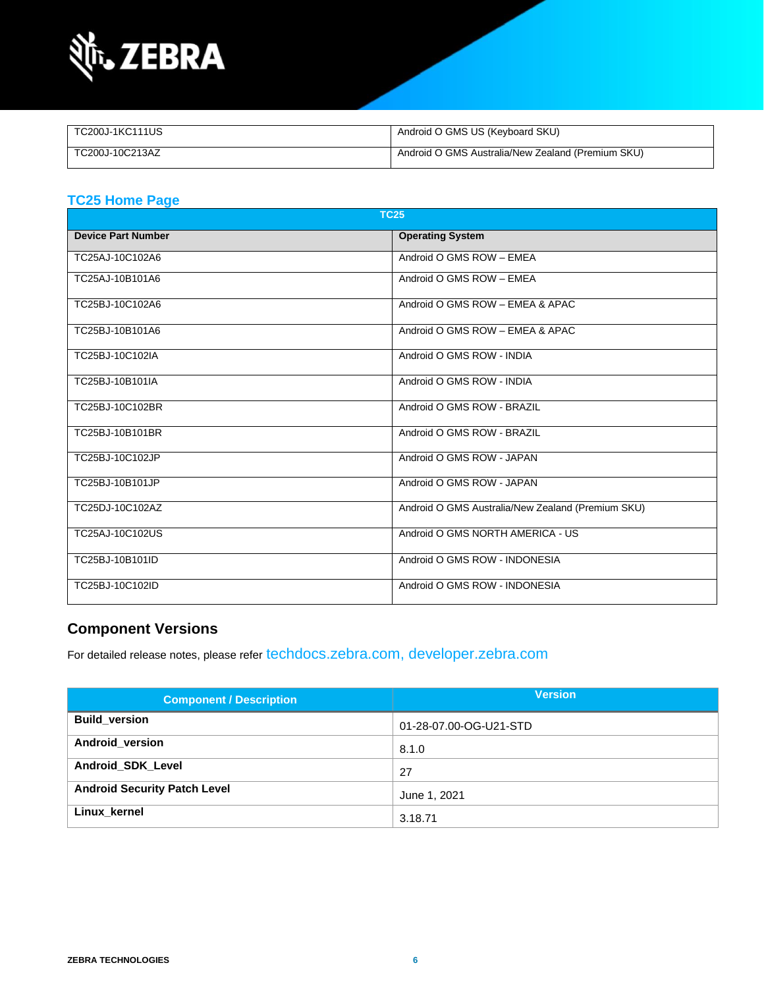

| TC200J-1KC111US | Android O GMS US (Keyboard SKU)                   |
|-----------------|---------------------------------------------------|
| TC200J-10C213AZ | Android O GMS Australia/New Zealand (Premium SKU) |

#### **[TC25 Home Page](https://www.zebra.com/us/en/support-downloads/software/operating-system/tc25-operating-system.html)**

| <b>TC25</b>               |                                                   |
|---------------------------|---------------------------------------------------|
| <b>Device Part Number</b> | <b>Operating System</b>                           |
| TC25AJ-10C102A6           | Android O GMS ROW - EMEA                          |
| TC25AJ-10B101A6           | Android O GMS ROW - EMEA                          |
| TC25BJ-10C102A6           | Android O GMS ROW - EMEA & APAC                   |
| TC25BJ-10B101A6           | Android O GMS ROW - EMEA & APAC                   |
| TC25BJ-10C102IA           | Android O GMS ROW - INDIA                         |
| TC25BJ-10B101IA           | Android O GMS ROW - INDIA                         |
| TC25BJ-10C102BR           | Android O GMS ROW - BRAZIL                        |
| TC25BJ-10B101BR           | Android O GMS ROW - BRAZIL                        |
| TC25BJ-10C102JP           | Android O GMS ROW - JAPAN                         |
| TC25BJ-10B101JP           | Android O GMS ROW - JAPAN                         |
| TC25DJ-10C102AZ           | Android O GMS Australia/New Zealand (Premium SKU) |
| TC25AJ-10C102US           | Android O GMS NORTH AMERICA - US                  |
| TC25BJ-10B101ID           | Android O GMS ROW - INDONESIA                     |
| TC25BJ-10C102ID           | Android O GMS ROW - INDONESIA                     |

### **Component Versions**

For detailed release notes, please refer [techdocs.zebra.com,](https://techdocs.zebra.com/) [developer.zebra.com](https://developer.zebra.com/)

| <b>Component / Description</b>      | <b>Version</b>         |
|-------------------------------------|------------------------|
| <b>Build version</b>                | 01-28-07.00-OG-U21-STD |
| Android_version                     | 8.1.0                  |
| Android_SDK_Level                   | 27                     |
| <b>Android Security Patch Level</b> | June 1, 2021           |
| Linux kernel                        | 3.18.71                |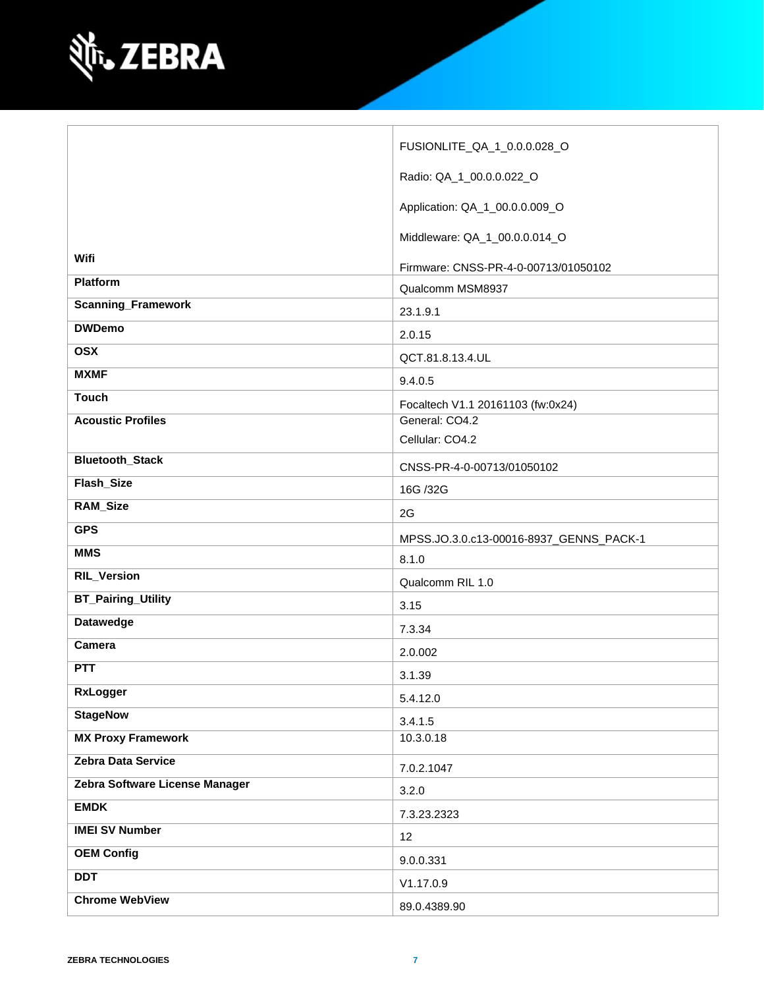

|                                | FUSIONLITE_QA_1_0.0.0.028_O                         |
|--------------------------------|-----------------------------------------------------|
|                                | Radio: QA_1_00.0.0.022_O                            |
|                                | Application: QA_1_00.0.0.009_O                      |
|                                | Middleware: QA_1_00.0.0.014_O                       |
| Wifi                           | Firmware: CNSS-PR-4-0-00713/01050102                |
| Platform                       | Qualcomm MSM8937                                    |
| <b>Scanning_Framework</b>      | 23.1.9.1                                            |
| <b>DWDemo</b>                  |                                                     |
| <b>OSX</b>                     | 2.0.15                                              |
| <b>MXMF</b>                    | QCT.81.8.13.4.UL                                    |
| <b>Touch</b>                   | 9.4.0.5                                             |
| <b>Acoustic Profiles</b>       | Focaltech V1.1 20161103 (fw:0x24)<br>General: CO4.2 |
|                                | Cellular: CO4.2                                     |
| <b>Bluetooth_Stack</b>         |                                                     |
|                                | CNSS-PR-4-0-00713/01050102                          |
| Flash_Size                     | 16G /32G                                            |
| <b>RAM_Size</b>                | 2G                                                  |
| <b>GPS</b>                     | MPSS.JO.3.0.c13-00016-8937_GENNS_PACK-1             |
| <b>MMS</b>                     | 8.1.0                                               |
|                                |                                                     |
| <b>RIL_Version</b>             | Qualcomm RIL 1.0                                    |
| <b>BT_Pairing_Utility</b>      | 3.15                                                |
| <b>Datawedge</b>               |                                                     |
| Camera                         | 7.3.34                                              |
| <b>PTT</b>                     | 2.0.002                                             |
| RxLogger                       | 3.1.39                                              |
|                                | 5.4.12.0                                            |
| <b>StageNow</b>                | 3.4.1.5                                             |
| <b>MX Proxy Framework</b>      | 10.3.0.18                                           |
| Zebra Data Service             | 7.0.2.1047                                          |
| Zebra Software License Manager | 3.2.0                                               |
| <b>EMDK</b>                    | 7.3.23.2323                                         |
| <b>IMEI SV Number</b>          | 12                                                  |
| <b>OEM Config</b>              | 9.0.0.331                                           |
| <b>DDT</b>                     | V1.17.0.9                                           |